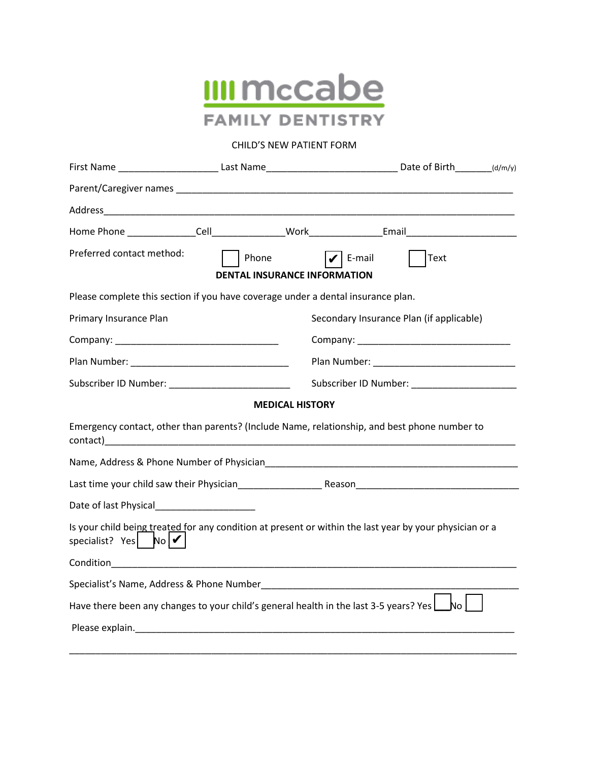

# CHILD'S NEW PATIENT FORM

|                                                                                  |                                     | First Name ____________________________Last Name__________________________________Date of Birth_________(d/m/y) |  |
|----------------------------------------------------------------------------------|-------------------------------------|-----------------------------------------------------------------------------------------------------------------|--|
|                                                                                  |                                     |                                                                                                                 |  |
|                                                                                  |                                     |                                                                                                                 |  |
|                                                                                  |                                     |                                                                                                                 |  |
| Preferred contact method:                                                        | Phone                               | E-mail<br>Text                                                                                                  |  |
|                                                                                  | <b>DENTAL INSURANCE INFORMATION</b> |                                                                                                                 |  |
| Please complete this section if you have coverage under a dental insurance plan. |                                     |                                                                                                                 |  |
| Primary Insurance Plan                                                           |                                     | Secondary Insurance Plan (if applicable)                                                                        |  |
|                                                                                  |                                     |                                                                                                                 |  |
|                                                                                  |                                     |                                                                                                                 |  |
| Subscriber ID Number: __________________________                                 |                                     | Subscriber ID Number: ____________________                                                                      |  |
|                                                                                  | <b>MEDICAL HISTORY</b>              |                                                                                                                 |  |
|                                                                                  |                                     | Emergency contact, other than parents? (Include Name, relationship, and best phone number to                    |  |
|                                                                                  |                                     |                                                                                                                 |  |
|                                                                                  |                                     |                                                                                                                 |  |
|                                                                                  |                                     |                                                                                                                 |  |
| specialist? Yes $\log  \mathcal{V} $                                             |                                     | Is your child being treated for any condition at present or within the last year by your physician or a         |  |
|                                                                                  |                                     |                                                                                                                 |  |
|                                                                                  |                                     |                                                                                                                 |  |
|                                                                                  |                                     | Have there been any changes to your child's general health in the last 3-5 years? Yes $\Box$ No                 |  |
|                                                                                  |                                     |                                                                                                                 |  |
|                                                                                  |                                     |                                                                                                                 |  |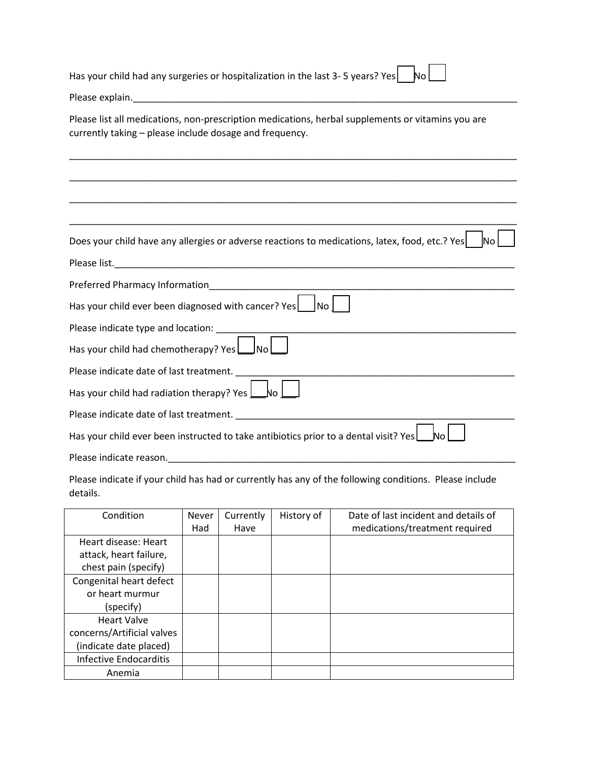| Has your child had any surgeries or hospitalization in the last 3-5 years? Yes<br>No.                                                                        |
|--------------------------------------------------------------------------------------------------------------------------------------------------------------|
|                                                                                                                                                              |
| Please list all medications, non-prescription medications, herbal supplements or vitamins you are<br>currently taking - please include dosage and frequency. |
|                                                                                                                                                              |
|                                                                                                                                                              |
| Does your child have any allergies or adverse reactions to medications, latex, food, etc.? Yes<br><b>I</b> No                                                |
|                                                                                                                                                              |
|                                                                                                                                                              |
| Has your child ever been diagnosed with cancer? Yes   No                                                                                                     |
|                                                                                                                                                              |
| Has your child had chemotherapy? Yes No                                                                                                                      |
| Please indicate date of last treatment.                                                                                                                      |
| Has your child had radiation therapy? Yes $\Box$ No                                                                                                          |
|                                                                                                                                                              |
| Has your child ever been instructed to take antibiotics prior to a dental visit? Yes                                                                         |
| Please indicate reason.                                                                                                                                      |

Please indicate if your child has had or currently has any of the following conditions. Please include details.

| Condition                     | <b>Never</b> | Currently | History of | Date of last incident and details of |
|-------------------------------|--------------|-----------|------------|--------------------------------------|
|                               | Had          | Have      |            | medications/treatment required       |
| Heart disease: Heart          |              |           |            |                                      |
| attack, heart failure,        |              |           |            |                                      |
| chest pain (specify)          |              |           |            |                                      |
| Congenital heart defect       |              |           |            |                                      |
| or heart murmur               |              |           |            |                                      |
| (specify)                     |              |           |            |                                      |
| <b>Heart Valve</b>            |              |           |            |                                      |
| concerns/Artificial valves    |              |           |            |                                      |
| (indicate date placed)        |              |           |            |                                      |
| <b>Infective Endocarditis</b> |              |           |            |                                      |
| Anemia                        |              |           |            |                                      |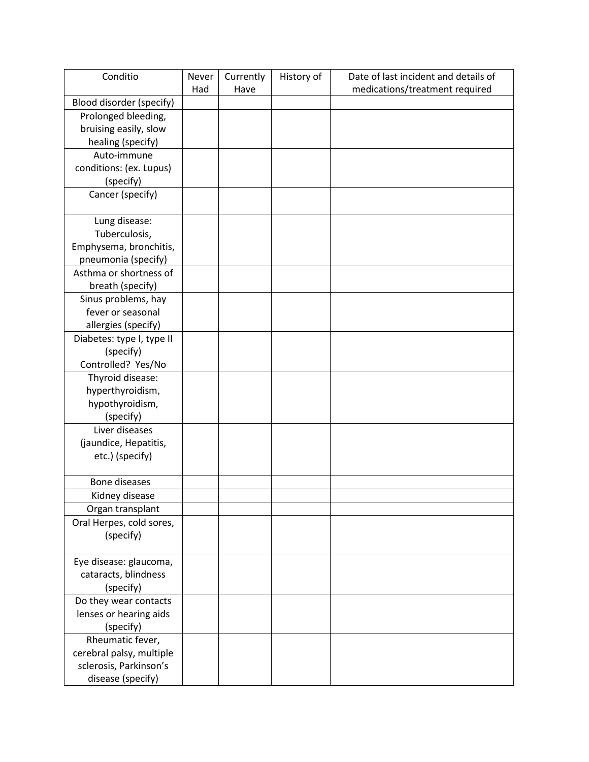| Conditio                  | Never | Currently | History of | Date of last incident and details of |
|---------------------------|-------|-----------|------------|--------------------------------------|
|                           | Had   | Have      |            | medications/treatment required       |
| Blood disorder (specify)  |       |           |            |                                      |
| Prolonged bleeding,       |       |           |            |                                      |
| bruising easily, slow     |       |           |            |                                      |
| healing (specify)         |       |           |            |                                      |
| Auto-immune               |       |           |            |                                      |
| conditions: (ex. Lupus)   |       |           |            |                                      |
| (specify)                 |       |           |            |                                      |
| Cancer (specify)          |       |           |            |                                      |
|                           |       |           |            |                                      |
| Lung disease:             |       |           |            |                                      |
| Tuberculosis,             |       |           |            |                                      |
| Emphysema, bronchitis,    |       |           |            |                                      |
| pneumonia (specify)       |       |           |            |                                      |
| Asthma or shortness of    |       |           |            |                                      |
| breath (specify)          |       |           |            |                                      |
| Sinus problems, hay       |       |           |            |                                      |
| fever or seasonal         |       |           |            |                                      |
| allergies (specify)       |       |           |            |                                      |
| Diabetes: type I, type II |       |           |            |                                      |
| (specify)                 |       |           |            |                                      |
| Controlled? Yes/No        |       |           |            |                                      |
| Thyroid disease:          |       |           |            |                                      |
| hyperthyroidism,          |       |           |            |                                      |
| hypothyroidism,           |       |           |            |                                      |
| (specify)                 |       |           |            |                                      |
| Liver diseases            |       |           |            |                                      |
| (jaundice, Hepatitis,     |       |           |            |                                      |
| etc.) (specify)           |       |           |            |                                      |
|                           |       |           |            |                                      |
| <b>Bone diseases</b>      |       |           |            |                                      |
| Kidney disease            |       |           |            |                                      |
| Organ transplant          |       |           |            |                                      |
| Oral Herpes, cold sores,  |       |           |            |                                      |
| (specify)                 |       |           |            |                                      |
| Eye disease: glaucoma,    |       |           |            |                                      |
| cataracts, blindness      |       |           |            |                                      |
| (specify)                 |       |           |            |                                      |
| Do they wear contacts     |       |           |            |                                      |
| lenses or hearing aids    |       |           |            |                                      |
| (specify)                 |       |           |            |                                      |
| Rheumatic fever,          |       |           |            |                                      |
| cerebral palsy, multiple  |       |           |            |                                      |
| sclerosis, Parkinson's    |       |           |            |                                      |
| disease (specify)         |       |           |            |                                      |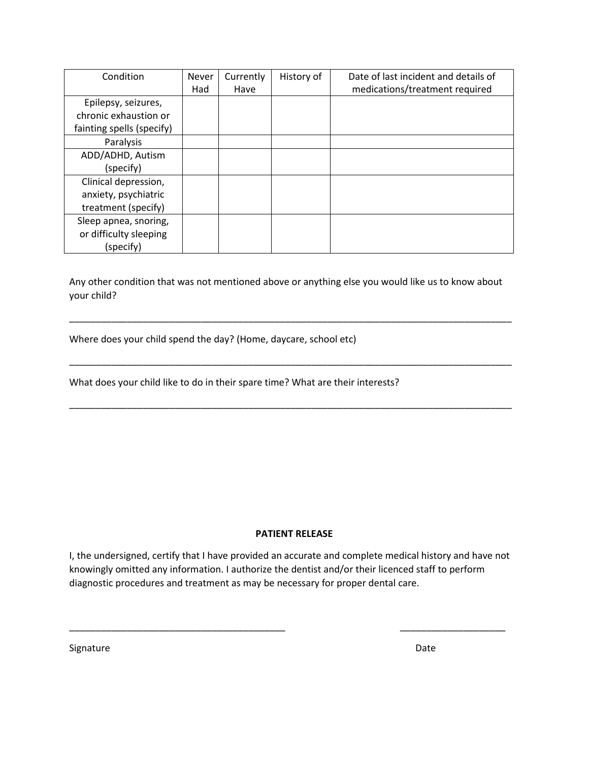| Condition                 | <b>Never</b> | Currently | History of | Date of last incident and details of |
|---------------------------|--------------|-----------|------------|--------------------------------------|
|                           | Had          | Have      |            | medications/treatment required       |
| Epilepsy, seizures,       |              |           |            |                                      |
| chronic exhaustion or     |              |           |            |                                      |
| fainting spells (specify) |              |           |            |                                      |
| Paralysis                 |              |           |            |                                      |
| ADD/ADHD, Autism          |              |           |            |                                      |
| (specify)                 |              |           |            |                                      |
| Clinical depression,      |              |           |            |                                      |
| anxiety, psychiatric      |              |           |            |                                      |
| treatment (specify)       |              |           |            |                                      |
| Sleep apnea, snoring,     |              |           |            |                                      |
| or difficulty sleeping    |              |           |            |                                      |
| (specify)                 |              |           |            |                                      |

Any other condition that was not mentioned above or anything else you would like us to know about your child?

\_\_\_\_\_\_\_\_\_\_\_\_\_\_\_\_\_\_\_\_\_\_\_\_\_\_\_\_\_\_\_\_\_\_\_\_\_\_\_\_\_\_\_\_\_\_\_\_\_\_\_\_\_\_\_\_\_\_\_\_\_\_\_\_\_\_\_\_\_\_\_\_\_\_\_\_\_\_\_\_\_\_\_\_

\_\_\_\_\_\_\_\_\_\_\_\_\_\_\_\_\_\_\_\_\_\_\_\_\_\_\_\_\_\_\_\_\_\_\_\_\_\_\_\_\_\_\_\_\_\_\_\_\_\_\_\_\_\_\_\_\_\_\_\_\_\_\_\_\_\_\_\_\_\_\_\_\_\_\_\_\_\_\_\_\_\_\_\_

\_\_\_\_\_\_\_\_\_\_\_\_\_\_\_\_\_\_\_\_\_\_\_\_\_\_\_\_\_\_\_\_\_\_\_\_\_\_\_\_\_\_\_\_\_\_\_\_\_\_\_\_\_\_\_\_\_\_\_\_\_\_\_\_\_\_\_\_\_\_\_\_\_\_\_\_\_\_\_\_\_\_\_\_

Where does your child spend the day? (Home, daycare, school etc)

What does your child like to do in their spare time? What are their interests?

## **PATIENT RELEASE**

I, the undersigned, certify that I have provided an accurate and complete medical history and have not knowingly omitted any information. I authorize the dentist and/or their licenced staff to perform diagnostic procedures and treatment as may be necessary for proper dental care.

\_\_\_\_\_\_\_\_\_\_\_\_\_\_\_\_\_\_\_\_\_\_\_\_\_\_\_\_\_\_\_\_\_\_\_\_\_\_\_\_\_ \_\_\_\_\_\_\_\_\_\_\_\_\_\_\_\_\_\_\_\_

Signature Date Date Communications and the Date Date Date Date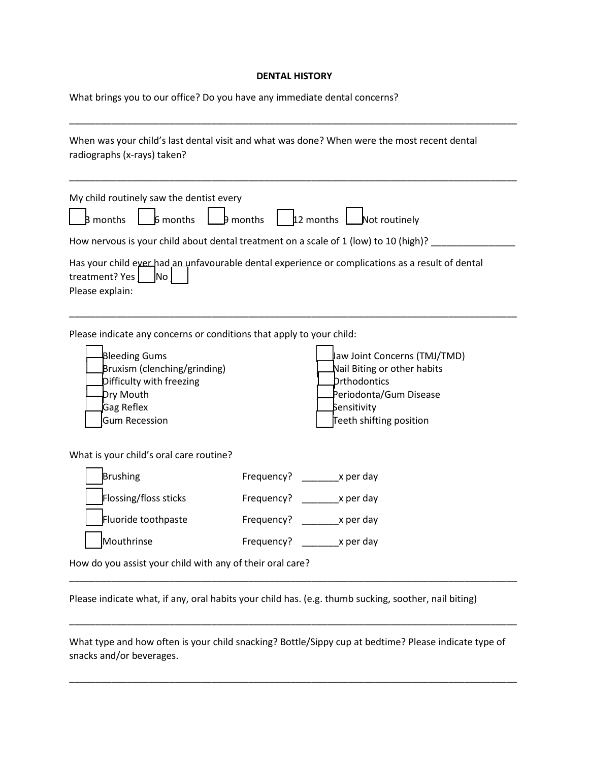## **DENTAL HISTORY**

What brings you to our office? Do you have any immediate dental concerns?

| radiographs (x-rays) taken?                                                                                 | When was your child's last dental visit and what was done? When were the most recent dental                     |
|-------------------------------------------------------------------------------------------------------------|-----------------------------------------------------------------------------------------------------------------|
| My child routinely saw the dentist every<br><b>B</b> months<br>6 months                                     | 12 months   Not routinely<br>$\frac{1}{2}$ months                                                               |
|                                                                                                             | How nervous is your child about dental treatment on a scale of 1 (low) to 10 (high)?                            |
| treatment? Yes<br>No.<br>Please explain:                                                                    | Has your child ever had an unfavourable dental experience or complications as a result of dental                |
| Please indicate any concerns or conditions that apply to your child:<br>Bleeding Gums                       | Jaw Joint Concerns (TMJ/TMD)                                                                                    |
| Bruxism (clenching/grinding)<br>Difficulty with freezing<br>Dry Mouth<br>Gag Reflex<br><b>Gum Recession</b> | Nail Biting or other habits<br>Drthodontics<br>Periodonta/Gum Disease<br>Sensitivity<br>Teeth shifting position |
| What is your child's oral care routine?                                                                     |                                                                                                                 |
| Brushing                                                                                                    | Frequency? x per day                                                                                            |
| Flossing/floss sticks                                                                                       | Frequency? x per day                                                                                            |
| Fluoride toothpaste                                                                                         | Frequency? _______ x per day                                                                                    |

Please indicate what, if any, oral habits your child has. (e.g. thumb sucking, soother, nail biting)

What type and how often is your child snacking? Bottle/Sippy cup at bedtime? Please indicate type of snacks and/or beverages.

\_\_\_\_\_\_\_\_\_\_\_\_\_\_\_\_\_\_\_\_\_\_\_\_\_\_\_\_\_\_\_\_\_\_\_\_\_\_\_\_\_\_\_\_\_\_\_\_\_\_\_\_\_\_\_\_\_\_\_\_\_\_\_\_\_\_\_\_\_\_\_\_\_\_\_\_\_\_\_\_\_\_\_\_\_

\_\_\_\_\_\_\_\_\_\_\_\_\_\_\_\_\_\_\_\_\_\_\_\_\_\_\_\_\_\_\_\_\_\_\_\_\_\_\_\_\_\_\_\_\_\_\_\_\_\_\_\_\_\_\_\_\_\_\_\_\_\_\_\_\_\_\_\_\_\_\_\_\_\_\_\_\_\_\_\_\_\_\_\_\_

\_\_\_\_\_\_\_\_\_\_\_\_\_\_\_\_\_\_\_\_\_\_\_\_\_\_\_\_\_\_\_\_\_\_\_\_\_\_\_\_\_\_\_\_\_\_\_\_\_\_\_\_\_\_\_\_\_\_\_\_\_\_\_\_\_\_\_\_\_\_\_\_\_\_\_\_\_\_\_\_\_\_\_\_\_